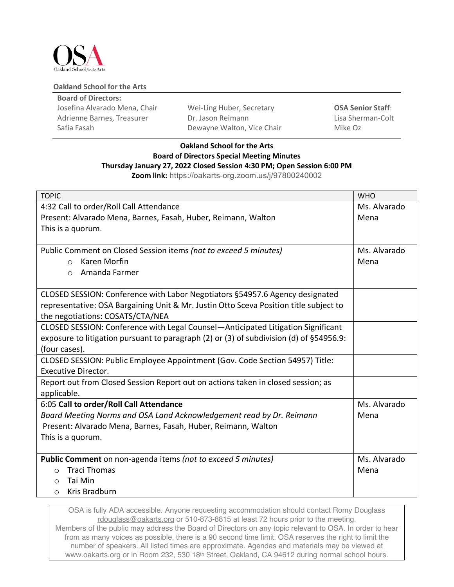

## **Oakland School for the Arts**

| <b>Board of Directors:</b>    |                            |                          |  |  |  |  |
|-------------------------------|----------------------------|--------------------------|--|--|--|--|
| Josefina Alvarado Mena, Chair | Wei-Ling Huber, Secretary  | <b>OSA Senior Staff:</b> |  |  |  |  |
| Adrienne Barnes, Treasurer    | Dr. Jason Reimann          | Lisa Sherman-Colt        |  |  |  |  |
| Safia Fasah                   | Dewayne Walton, Vice Chair | Mike Oz                  |  |  |  |  |

## **Oakland School for the Arts Board of Directors Special Meeting Minutes Thursday January 27, 2022 Closed Session 4:30 PM; Open Session 6:00 PM**

**Zoom link:** https://oakarts-org.zoom.us/j/97800240002

| <b>TOPIC</b>                                                                                 | <b>WHO</b>   |
|----------------------------------------------------------------------------------------------|--------------|
| 4:32 Call to order/Roll Call Attendance                                                      | Ms. Alvarado |
| Present: Alvarado Mena, Barnes, Fasah, Huber, Reimann, Walton                                | Mena         |
| This is a quorum.                                                                            |              |
|                                                                                              |              |
| Public Comment on Closed Session items (not to exceed 5 minutes)                             | Ms. Alvarado |
| Karen Morfin<br>$\Omega$                                                                     | Mena         |
| Amanda Farmer<br>$\bigcirc$                                                                  |              |
|                                                                                              |              |
| CLOSED SESSION: Conference with Labor Negotiators §54957.6 Agency designated                 |              |
| representative: OSA Bargaining Unit & Mr. Justin Otto Sceva Position title subject to        |              |
| the negotiations: COSATS/CTA/NEA                                                             |              |
| CLOSED SESSION: Conference with Legal Counsel—Anticipated Litigation Significant             |              |
| exposure to litigation pursuant to paragraph (2) or (3) of subdivision (d) of $\S 54956.9$ : |              |
| (four cases).                                                                                |              |
| CLOSED SESSION: Public Employee Appointment (Gov. Code Section 54957) Title:                 |              |
| <b>Executive Director.</b>                                                                   |              |
| Report out from Closed Session Report out on actions taken in closed session; as             |              |
| applicable.                                                                                  |              |
| 6:05 Call to order/Roll Call Attendance                                                      | Ms. Alvarado |
| Board Meeting Norms and OSA Land Acknowledgement read by Dr. Reimann                         | Mena         |
| Present: Alvarado Mena, Barnes, Fasah, Huber, Reimann, Walton                                |              |
| This is a quorum.                                                                            |              |
|                                                                                              |              |
| Public Comment on non-agenda items (not to exceed 5 minutes)                                 | Ms. Alvarado |
| <b>Traci Thomas</b><br>$\Omega$                                                              | Mena         |
| Tai Min<br>$\circ$                                                                           |              |
| Kris Bradburn<br>$\circ$                                                                     |              |

OSA is fully ADA accessible. Anyone requesting accommodation should contact Romy Douglass rdouglass@oakarts.org or 510-873-8815 at least 72 hours prior to the meeting. Members of the public may address the Board of Directors on any topic relevant to OSA. In order to hear from as many voices as possible, there is a 90 second time limit. OSA reserves the right to limit the number of speakers. All listed times are approximate. Agendas and materials may be viewed at www.oakarts.org or in Room 232, 530 18th Street, Oakland, CA 94612 during normal school hours.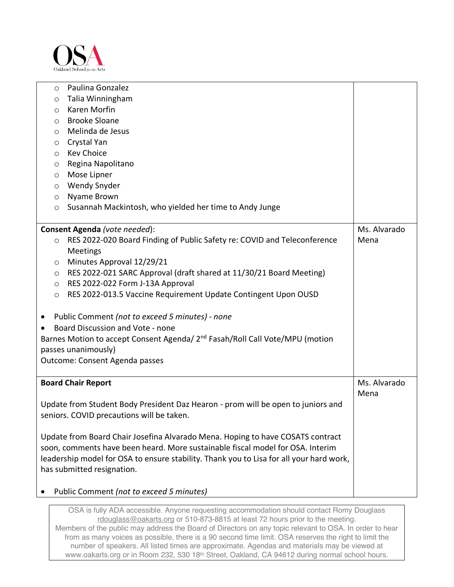

|                                                                                         | $\circ$                                                                                  |                                                                                  |              |  |  |
|-----------------------------------------------------------------------------------------|------------------------------------------------------------------------------------------|----------------------------------------------------------------------------------|--------------|--|--|
|                                                                                         | $\circ$                                                                                  |                                                                                  |              |  |  |
|                                                                                         | $\circ$                                                                                  |                                                                                  |              |  |  |
|                                                                                         | $\circ$                                                                                  |                                                                                  |              |  |  |
|                                                                                         | Melinda de Jesus<br>$\circ$                                                              |                                                                                  |              |  |  |
|                                                                                         | Crystal Yan<br>$\circ$                                                                   |                                                                                  |              |  |  |
|                                                                                         | <b>Kev Choice</b><br>$\circ$                                                             |                                                                                  |              |  |  |
|                                                                                         | Regina Napolitano<br>$\circ$                                                             |                                                                                  |              |  |  |
|                                                                                         | $\circ$                                                                                  | Mose Lipner                                                                      |              |  |  |
|                                                                                         | <b>Wendy Snyder</b><br>$\circ$                                                           |                                                                                  |              |  |  |
|                                                                                         | $\circ$                                                                                  | Nyame Brown                                                                      |              |  |  |
|                                                                                         | $\circ$                                                                                  | Susannah Mackintosh, who yielded her time to Andy Junge                          |              |  |  |
|                                                                                         |                                                                                          |                                                                                  |              |  |  |
|                                                                                         |                                                                                          | Consent Agenda (vote needed):                                                    | Ms. Alvarado |  |  |
|                                                                                         | $\circ$                                                                                  | RES 2022-020 Board Finding of Public Safety re: COVID and Teleconference         | Mena         |  |  |
|                                                                                         |                                                                                          | Meetings                                                                         |              |  |  |
|                                                                                         | $\circ$                                                                                  | Minutes Approval 12/29/21                                                        |              |  |  |
|                                                                                         | $\circ$                                                                                  | RES 2022-021 SARC Approval (draft shared at 11/30/21 Board Meeting)              |              |  |  |
|                                                                                         | $\circ$                                                                                  | RES 2022-022 Form J-13A Approval                                                 |              |  |  |
|                                                                                         | $\circ$                                                                                  | RES 2022-013.5 Vaccine Requirement Update Contingent Upon OUSD                   |              |  |  |
|                                                                                         |                                                                                          |                                                                                  |              |  |  |
| Public Comment (not to exceed 5 minutes) - none<br>$\bullet$                            |                                                                                          |                                                                                  |              |  |  |
| $\bullet$                                                                               |                                                                                          | Board Discussion and Vote - none                                                 |              |  |  |
|                                                                                         | Barnes Motion to accept Consent Agenda/ 2 <sup>nd</sup> Fasah/Roll Call Vote/MPU (motion |                                                                                  |              |  |  |
| passes unanimously)                                                                     |                                                                                          |                                                                                  |              |  |  |
|                                                                                         | Outcome: Consent Agenda passes                                                           |                                                                                  |              |  |  |
|                                                                                         |                                                                                          |                                                                                  |              |  |  |
|                                                                                         |                                                                                          | <b>Board Chair Report</b>                                                        | Ms. Alvarado |  |  |
|                                                                                         |                                                                                          |                                                                                  | Mena         |  |  |
|                                                                                         |                                                                                          | Update from Student Body President Daz Hearon - prom will be open to juniors and |              |  |  |
|                                                                                         | seniors. COVID precautions will be taken.                                                |                                                                                  |              |  |  |
|                                                                                         |                                                                                          | Update from Board Chair Josefina Alvarado Mena. Hoping to have COSATS contract   |              |  |  |
|                                                                                         | soon, comments have been heard. More sustainable fiscal model for OSA. Interim           |                                                                                  |              |  |  |
| leadership model for OSA to ensure stability. Thank you to Lisa for all your hard work, |                                                                                          |                                                                                  |              |  |  |
| has submitted resignation.                                                              |                                                                                          |                                                                                  |              |  |  |
|                                                                                         |                                                                                          |                                                                                  |              |  |  |
|                                                                                         | Public Comment (not to exceed 5 minutes)                                                 |                                                                                  |              |  |  |

OSA is fully ADA accessible. Anyone requesting accommodation should contact Romy Douglass rdouglass@oakarts.org or 510-873-8815 at least 72 hours prior to the meeting. Members of the public may address the Board of Directors on any topic relevant to OSA. In order to hear from as many voices as possible, there is a 90 second time limit. OSA reserves the right to limit the number of speakers. All listed times are approximate. Agendas and materials may be viewed at www.oakarts.org or in Room 232, 530 18th Street, Oakland, CA 94612 during normal school hours.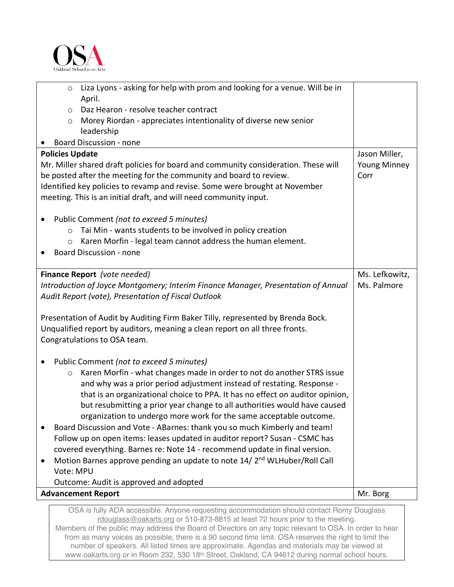

|                                                                                                   |                                                                             | <b>Advancement Report</b>                                                                                                                                | Mr. Borg       |  |  |
|---------------------------------------------------------------------------------------------------|-----------------------------------------------------------------------------|----------------------------------------------------------------------------------------------------------------------------------------------------------|----------------|--|--|
|                                                                                                   |                                                                             | Outcome: Audit is approved and adopted                                                                                                                   |                |  |  |
|                                                                                                   | Vote: MPU                                                                   |                                                                                                                                                          |                |  |  |
| Motion Barnes approve pending an update to note 14/2 <sup>nd</sup> WLHuber/Roll Call<br>$\bullet$ |                                                                             |                                                                                                                                                          |                |  |  |
|                                                                                                   | covered everything. Barnes re: Note 14 - recommend update in final version. |                                                                                                                                                          |                |  |  |
|                                                                                                   | Follow up on open items: leases updated in auditor report? Susan - CSMC has |                                                                                                                                                          |                |  |  |
|                                                                                                   |                                                                             | Board Discussion and Vote - ABarnes: thank you so much Kimberly and team!                                                                                |                |  |  |
|                                                                                                   |                                                                             | organization to undergo more work for the same acceptable outcome.                                                                                       |                |  |  |
|                                                                                                   |                                                                             | but resubmitting a prior year change to all authorities would have caused                                                                                |                |  |  |
|                                                                                                   |                                                                             | that is an organizational choice to PPA. It has no effect on auditor opinion,                                                                            |                |  |  |
|                                                                                                   |                                                                             | and why was a prior period adjustment instead of restating. Response -                                                                                   |                |  |  |
|                                                                                                   | $\circ$                                                                     | Karen Morfin - what changes made in order to not do another STRS issue                                                                                   |                |  |  |
| ٠                                                                                                 |                                                                             | Public Comment (not to exceed 5 minutes)                                                                                                                 |                |  |  |
|                                                                                                   |                                                                             | Congratulations to OSA team.                                                                                                                             |                |  |  |
| Unqualified report by auditors, meaning a clean report on all three fronts.                       |                                                                             |                                                                                                                                                          |                |  |  |
| Presentation of Audit by Auditing Firm Baker Tilly, represented by Brenda Bock.                   |                                                                             |                                                                                                                                                          |                |  |  |
|                                                                                                   |                                                                             |                                                                                                                                                          |                |  |  |
| Audit Report (vote), Presentation of Fiscal Outlook                                               |                                                                             |                                                                                                                                                          |                |  |  |
|                                                                                                   |                                                                             | Introduction of Joyce Montgomery; Interim Finance Manager, Presentation of Annual                                                                        | Ms. Palmore    |  |  |
|                                                                                                   |                                                                             | Finance Report (vote needed)                                                                                                                             | Ms. Lefkowitz, |  |  |
|                                                                                                   |                                                                             |                                                                                                                                                          |                |  |  |
|                                                                                                   | $\circ$                                                                     | Karen Morfin - legal team cannot address the human element.<br><b>Board Discussion - none</b>                                                            |                |  |  |
|                                                                                                   | $\circ$                                                                     | Tai Min - wants students to be involved in policy creation                                                                                               |                |  |  |
|                                                                                                   |                                                                             | Public Comment (not to exceed 5 minutes)                                                                                                                 |                |  |  |
|                                                                                                   |                                                                             |                                                                                                                                                          |                |  |  |
|                                                                                                   |                                                                             | meeting. This is an initial draft, and will need community input.                                                                                        |                |  |  |
|                                                                                                   |                                                                             | Identified key policies to revamp and revise. Some were brought at November                                                                              |                |  |  |
|                                                                                                   |                                                                             | Mr. Miller shared draft policies for board and community consideration. These will<br>be posted after the meeting for the community and board to review. | Corr           |  |  |
|                                                                                                   | <b>Young Minney</b>                                                         |                                                                                                                                                          |                |  |  |
| <b>Policies Update</b>                                                                            | Jason Miller,                                                               |                                                                                                                                                          |                |  |  |
|                                                                                                   |                                                                             | <b>Board Discussion - none</b>                                                                                                                           |                |  |  |
|                                                                                                   | $\circ$                                                                     | Morey Riordan - appreciates intentionality of diverse new senior<br>leadership                                                                           |                |  |  |
|                                                                                                   | $\circ$                                                                     | Daz Hearon - resolve teacher contract                                                                                                                    |                |  |  |
|                                                                                                   |                                                                             | April.                                                                                                                                                   |                |  |  |
|                                                                                                   | $\circ$                                                                     | Liza Lyons - asking for help with prom and looking for a venue. Will be in                                                                               |                |  |  |
|                                                                                                   |                                                                             |                                                                                                                                                          |                |  |  |

OSA is fully ADA accessible. Anyone requesting accommodation should contact Romy Douglass rdouglass@oakarts.org or 510-873-8815 at least 72 hours prior to the meeting. Members of the public may address the Board of Directors on any topic relevant to OSA. In order to hear from as many voices as possible, there is a 90 second time limit. OSA reserves the right to limit the number of speakers. All listed times are approximate. Agendas and materials may be viewed at www.oakarts.org or in Room 232, 530 18th Street, Oakland, CA 94612 during normal school hours.